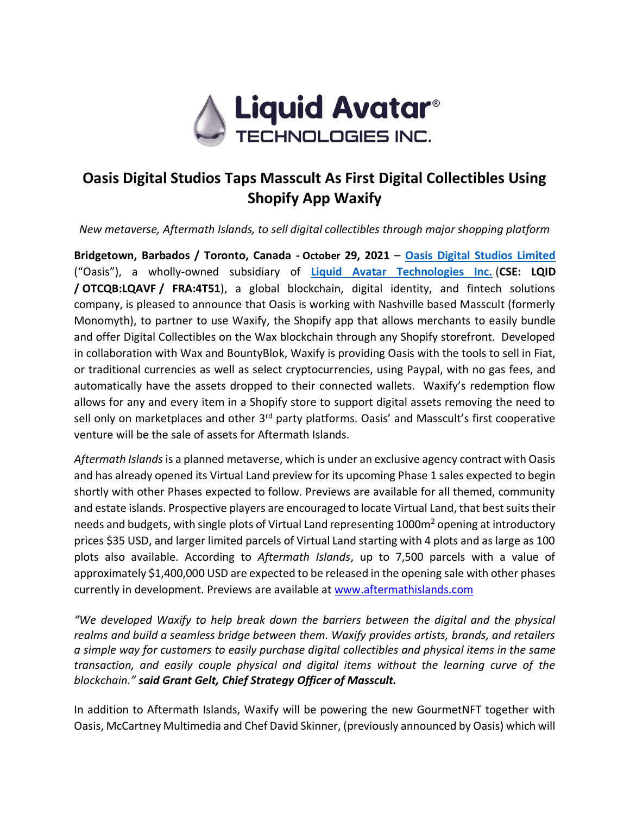

# **Oasis Digital Studios Taps Masscult As First Digital Collectibles Using Shopify App Waxify**

*New metaverse, Aftermath Islands, to sell digital collectibles through major shopping platform*

**Bridgetown, Barbados / Toronto, Canada - October 29, 2021** – **[Oasis Digital Studios Limited](https://oasisdigitalstudios.com/)** ("Oasis"), a wholly-owned subsidiary of **[Liquid Avatar Technologies Inc.](https://liquidavatartechnologies.com/)** (**CSE: LQID / OTCQB:LQAVF / FRA:4T51**), a global blockchain, digital identity, and fintech solutions company, is pleased to announce that Oasis is working with Nashville based Masscult (formerly Monomyth), to partner to use Waxify, the Shopify app that allows merchants to easily bundle and offer Digital Collectibles on the Wax blockchain through any Shopify storefront. Developed in collaboration with Wax and BountyBlok, Waxify is providing Oasis with the tools to sell in Fiat, or traditional currencies as well as select cryptocurrencies, using Paypal, with no gas fees, and automatically have the assets dropped to their connected wallets. Waxify's redemption flow allows for any and every item in a Shopify store to support digital assets removing the need to sell only on marketplaces and other 3<sup>rd</sup> party platforms. Oasis' and Masscult's first cooperative venture will be the sale of assets for Aftermath Islands.

*Aftermath Islands* is a planned metaverse, which is under an exclusive agency contract with Oasis and has already opened its Virtual Land preview for its upcoming Phase 1 sales expected to begin shortly with other Phases expected to follow. Previews are available for all themed, community and estate islands. Prospective players are encouraged to locate Virtual Land, that best suits their needs and budgets, with single plots of Virtual Land representing 1000m<sup>2</sup> opening at introductory prices \$35 USD, and larger limited parcels of Virtual Land starting with 4 plots and as large as 100 plots also available. According to *Aftermath Islands*, up to 7,500 parcels with a value of approximately \$1,400,000 USD are expected to be released in the opening sale with other phases currently in development. Previews are available at [www.aftermathislands.com](https://aftermathislands.com/)

*"We developed Waxify to help break down the barriers between the digital and the physical realms and build a seamless bridge between them. Waxify provides artists, brands, and retailers a simple way for customers to easily purchase digital collectibles and physical items in the same transaction, and easily couple physical and digital items without the learning curve of the blockchain." said Grant Gelt, Chief Strategy Officer of Masscult.*

In addition to Aftermath Islands, Waxify will be powering the new GourmetNFT together with Oasis, McCartney Multimedia and Chef David Skinner, (previously announced by Oasis) which will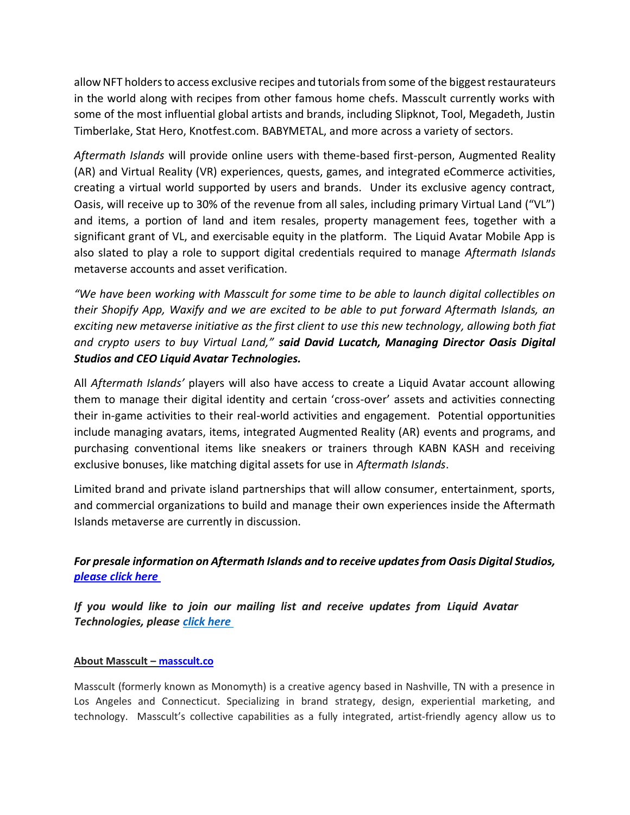allow NFT holders to access exclusive recipes and tutorials from some of the biggest restaurateurs in the world along with recipes from other famous home chefs. Masscult currently works with some of the most influential global artists and brands, including Slipknot, Tool, Megadeth, Justin Timberlake, Stat Hero, Knotfest.com. BABYMETAL, and more across a variety of sectors.

*Aftermath Islands* will provide online users with theme-based first-person, Augmented Reality (AR) and Virtual Reality (VR) experiences, quests, games, and integrated eCommerce activities, creating a virtual world supported by users and brands. Under its exclusive agency contract, Oasis, will receive up to 30% of the revenue from all sales, including primary Virtual Land ("VL") and items, a portion of land and item resales, property management fees, together with a significant grant of VL, and exercisable equity in the platform. The Liquid Avatar Mobile App is also slated to play a role to support digital credentials required to manage *Aftermath Islands* metaverse accounts and asset verification.

*"We have been working with Masscult for some time to be able to launch digital collectibles on their Shopify App, Waxify and we are excited to be able to put forward Aftermath Islands, an exciting new metaverse initiative as the first client to use this new technology, allowing both fiat and crypto users to buy Virtual Land," said David Lucatch, Managing Director Oasis Digital Studios and CEO Liquid Avatar Technologies.*

All *Aftermath Islands'* players will also have access to create a Liquid Avatar account allowing them to manage their digital identity and certain 'cross-over' assets and activities connecting their in-game activities to their real-world activities and engagement. Potential opportunities include managing avatars, items, integrated Augmented Reality (AR) events and programs, and purchasing conventional items like sneakers or trainers through KABN KASH and receiving exclusive bonuses, like matching digital assets for use in *Aftermath Islands*.

Limited brand and private island partnerships that will allow consumer, entertainment, sports, and commercial organizations to build and manage their own experiences inside the Aftermath Islands metaverse are currently in discussion.

## *For presale information on Aftermath Islands and to receive updates from Oasis Digital Studios, please [click here](https://share.hsforms.com/1bSgqjoO8SjmF58FU9WhPyA4rqa5)*

*If you would like to join our mailing list and receive updates from Liquid Avatar Technologies, please [click here](https://hello.liquidavatar.com/liquid-avatar-updates)*

### **About Masscult – [masscult.co](https://masscult.co/)**

Masscult (formerly known as Monomyth) is a creative agency based in Nashville, TN with a presence in Los Angeles and Connecticut. Specializing in brand strategy, design, experiential marketing, and technology. Masscult's collective capabilities as a fully integrated, artist-friendly agency allow us to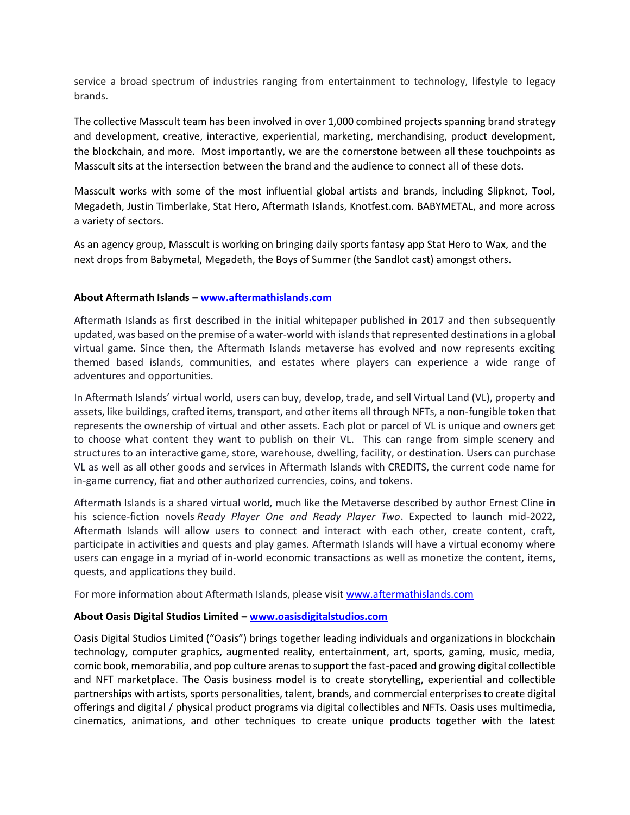service a broad spectrum of industries ranging from entertainment to technology, lifestyle to legacy brands.

The collective Masscult team has been involved in over 1,000 combined projects spanning brand strategy and development, creative, interactive, experiential, marketing, merchandising, product development, the blockchain, and more. Most importantly, we are the cornerstone between all these touchpoints as Masscult sits at the intersection between the brand and the audience to connect all of these dots.

Masscult works with some of the most influential global artists and brands, including Slipknot, Tool, Megadeth, Justin Timberlake, Stat Hero, Aftermath Islands, Knotfest.com. BABYMETAL, and more across a variety of sectors.

As an agency group, Masscult is working on bringing daily sports fantasy app Stat Hero to Wax, and the next drops from Babymetal, Megadeth, the Boys of Summer (the Sandlot cast) amongst others.

#### **About Aftermath Islands – [www.aftermathislands.com](https://aftermathislands.com/)**

Aftermath Islands as first described in the initial whitepaper published in 2017 and then subsequently updated, was based on the premise of a water-world with islands that represented destinations in a global virtual game. Since then, the Aftermath Islands metaverse has evolved and now represents exciting themed based islands, communities, and estates where players can experience a wide range of adventures and opportunities.

In Aftermath Islands' virtual world, users can buy, develop, trade, and sell Virtual Land (VL), property and assets, like buildings, crafted items, transport, and other items all through NFTs, a non-fungible token that represents the ownership of virtual and other assets. Each plot or parcel of VL is unique and owners get to choose what content they want to publish on their VL. This can range from simple scenery and structures to an interactive game, store, warehouse, dwelling, facility, or destination. Users can purchase VL as well as all other goods and services in Aftermath Islands with CREDITS, the current code name for in-game currency, fiat and other authorized currencies, coins, and tokens.

Aftermath Islands is a shared virtual world, much like the Metaverse described by author Ernest Cline in his science-fiction novels *Ready Player One and Ready Player Two*. Expected to launch mid-2022, Aftermath Islands will allow users to connect and interact with each other, create content, craft, participate in activities and quests and play games. Aftermath Islands will have a virtual economy where users can engage in a myriad of in-world economic transactions as well as monetize the content, items, quests, and applications they build.

For more information about Aftermath Islands, please visi[t www.aftermathislands.com](https://aftermathislands.com/)

#### **About Oasis Digital Studios Limited – [www.oasisdigitalstudios.com](https://oasisdigitalstudios.com/)**

Oasis Digital Studios Limited ("Oasis") brings together leading individuals and organizations in blockchain technology, computer graphics, augmented reality, entertainment, art, sports, gaming, music, media, comic book, memorabilia, and pop culture arenas to support the fast-paced and growing digital collectible and NFT marketplace. The Oasis business model is to create storytelling, experiential and collectible partnerships with artists, sports personalities, talent, brands, and commercial enterprises to create digital offerings and digital / physical product programs via digital collectibles and NFTs. Oasis uses multimedia, cinematics, animations, and other techniques to create unique products together with the latest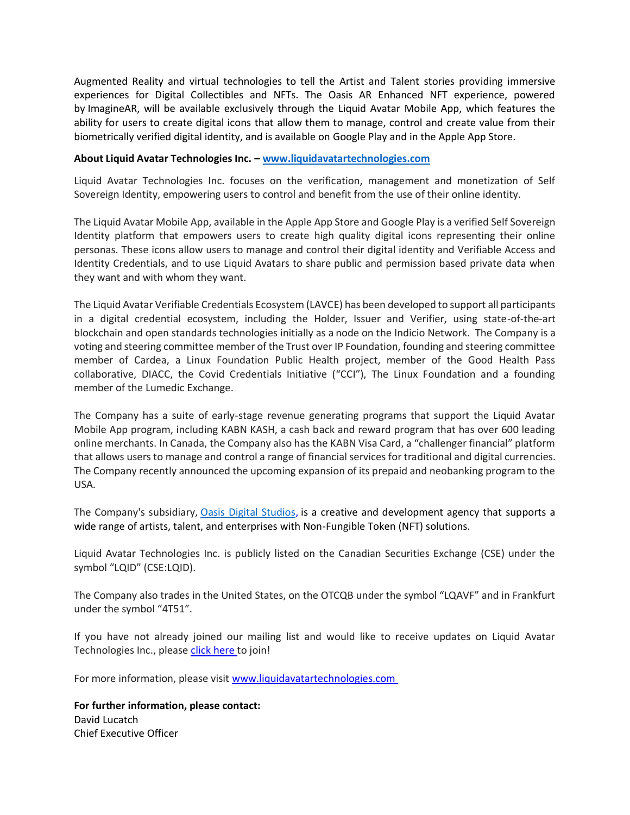Augmented Reality and virtual technologies to tell the Artist and Talent stories providing immersive experiences for Digital Collectibles and NFTs. The Oasis AR Enhanced NFT experience, powered by ImagineAR, will be available exclusively through the Liquid Avatar Mobile App, which features the ability for users to create digital icons that allow them to manage, control and create value from their biometrically verified digital identity, and is available on Google Play and in the Apple App Store.

#### **About Liquid Avatar Technologies Inc. – [www.liquidavatartechnologies.com](http://www.liquidavatartechnologies.com/)**

Liquid Avatar Technologies Inc. focuses on the verification, management and monetization of Self Sovereign Identity, empowering users to control and benefit from the use of their online identity.

The Liquid Avatar Mobile App, available in the Apple App Store and Google Play is a verified Self Sovereign Identity platform that empowers users to create high quality digital icons representing their online personas. These icons allow users to manage and control their digital identity and Verifiable Access and Identity Credentials, and to use Liquid Avatars to share public and permission based private data when they want and with whom they want.

The Liquid Avatar Verifiable Credentials Ecosystem (LAVCE) has been developed to support all participants in a digital credential ecosystem, including the Holder, Issuer and Verifier, using state-of-the-art blockchain and open standards technologies initially as a node on the Indicio Network. The Company is a voting and steering committee member of the Trust over IP Foundation, founding and steering committee member of Cardea, a Linux Foundation Public Health project, member of the Good Health Pass collaborative, DIACC, the Covid Credentials Initiative ("CCI"), The Linux Foundation and a founding member of the Lumedic Exchange.

The Company has a suite of early-stage revenue generating programs that support the Liquid Avatar Mobile App program, including KABN KASH, a cash back and reward program that has over 600 leading online merchants. In Canada, the Company also has the KABN Visa Card, a "challenger financial" platform that allows users to manage and control a range of financial services for traditional and digital currencies. The Company recently announced the upcoming expansion of its prepaid and neobanking program to the USA.

The Company's subsidiary, [Oasis Digital Studios,](https://oasisdigitalstudios.com/) is a creative and development agency that supports a wide range of artists, talent, and enterprises with Non-Fungible Token (NFT) solutions.

Liquid Avatar Technologies Inc. is publicly listed on the Canadian Securities Exchange (CSE) under the symbol "LQID" (CSE:LQID).

The Company also trades in the United States, on the OTCQB under the symbol "LQAVF" and in Frankfurt under the symbol "4T51".

If you have not already joined our mailing list and would like to receive updates on Liquid Avatar Technologies Inc., please [click here](https://hello.liquidavatar.com/liquid-avatar-updates) to join!

For more information, please visit [www.liquidavatartechnologies.com](https://liquidavatartechnologies.com/)

**For further information, please contact:** David Lucatch Chief Executive Officer